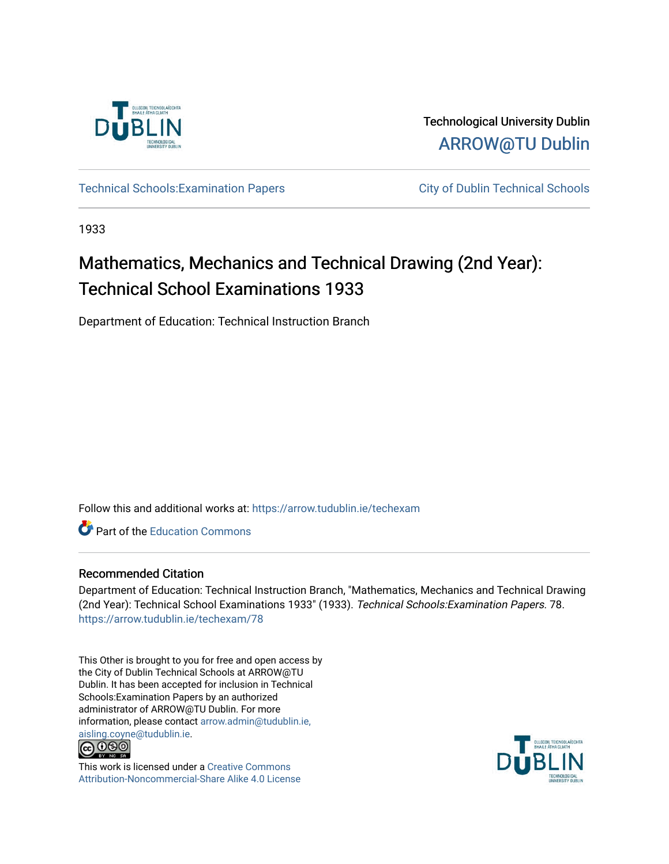

Technological University Dublin [ARROW@TU Dublin](https://arrow.tudublin.ie/) 

Technical Schools: Examination Papers City of Dublin Technical Schools

1933

# Mathematics, Mechanics and Technical Drawing (2nd Year): Technical School Examinations 1933

Department of Education: Technical Instruction Branch

Follow this and additional works at: [https://arrow.tudublin.ie/techexam](https://arrow.tudublin.ie/techexam?utm_source=arrow.tudublin.ie%2Ftechexam%2F78&utm_medium=PDF&utm_campaign=PDFCoverPages) 

Part of the [Education Commons](http://network.bepress.com/hgg/discipline/784?utm_source=arrow.tudublin.ie%2Ftechexam%2F78&utm_medium=PDF&utm_campaign=PDFCoverPages)

# Recommended Citation

Department of Education: Technical Instruction Branch, "Mathematics, Mechanics and Technical Drawing (2nd Year): Technical School Examinations 1933" (1933). Technical Schools:Examination Papers. 78. [https://arrow.tudublin.ie/techexam/78](https://arrow.tudublin.ie/techexam/78?utm_source=arrow.tudublin.ie%2Ftechexam%2F78&utm_medium=PDF&utm_campaign=PDFCoverPages)

This Other is brought to you for free and open access by the City of Dublin Technical Schools at ARROW@TU Dublin. It has been accepted for inclusion in Technical Schools:Examination Papers by an authorized administrator of ARROW@TU Dublin. For more information, please contact [arrow.admin@tudublin.ie,](mailto:arrow.admin@tudublin.ie,%20aisling.coyne@tudublin.ie)  [aisling.coyne@tudublin.ie.](mailto:arrow.admin@tudublin.ie,%20aisling.coyne@tudublin.ie)<br>© 090



This work is licensed under a [Creative Commons](http://creativecommons.org/licenses/by-nc-sa/4.0/) [Attribution-Noncommercial-Share Alike 4.0 License](http://creativecommons.org/licenses/by-nc-sa/4.0/)

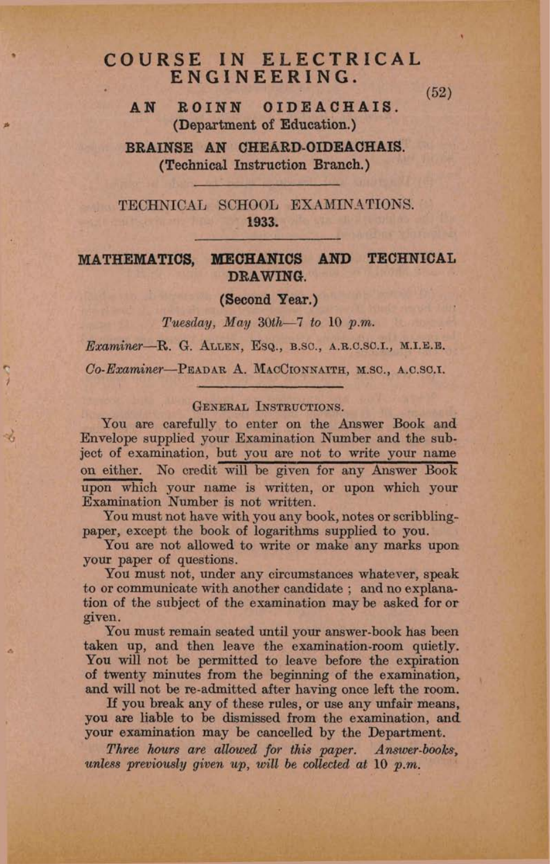# COURSE IN ELECTRICAL ENGINEERING.

 $(52)$ 

ROINN OIDEACHAIS. **AN** (Department of Education.)

BRAINSE AN CHEARD-OIDEACHAIS. (Technical Instruction Branch.)

TECHNICAL SCHOOL EXAMINATIONS. 1933.

#### MECHANICS AND TECHNICAL **MATHEMATICS,** DRAWING.

(Second Year.)

Tuesday, May  $30th-7$  to 10 p.m.

Examiner-R. G. ALLEN, ESQ., B.SC., A.R.C.SC.I., M.I.E.E.

Co-Examiner-PEADAR A. MACCIONNAITH, M.SC., A.C.SC.I.

## **GENERAL INSTRUCTIONS.**

 $\mathcal{A}_i$ 

You are carefully to enter on the Answer Book and Envelope supplied your Examination Number and the subject of examination, but you are not to write your name on either. No credit will be given for any Answer Book upon which your name is written, or upon which your Examination Number is not written.

You must not have with you any book, notes or scribblingpaper, except the book of logarithms supplied to you.

You are not allowed to write or make any marks upon your paper of questions.

You must not, under any circumstances whatever, speak to or communicate with another candidate; and no explanation of the subject of the examination may be asked for or given.

You must remain seated until your answer-book has been taken up, and then leave the examination-room quietly. You will not be permitted to leave before the expiration of twenty minutes from the beginning of the examination, and will not be re-admitted after having once left the room.

If you break any of these rules, or use any unfair means, you are liable to be dismissed from the examination, and your examination may be cancelled by the Department.

Three hours are allowed for this paper. Answer-books, unless previously given up, will be collected at 10 p.m.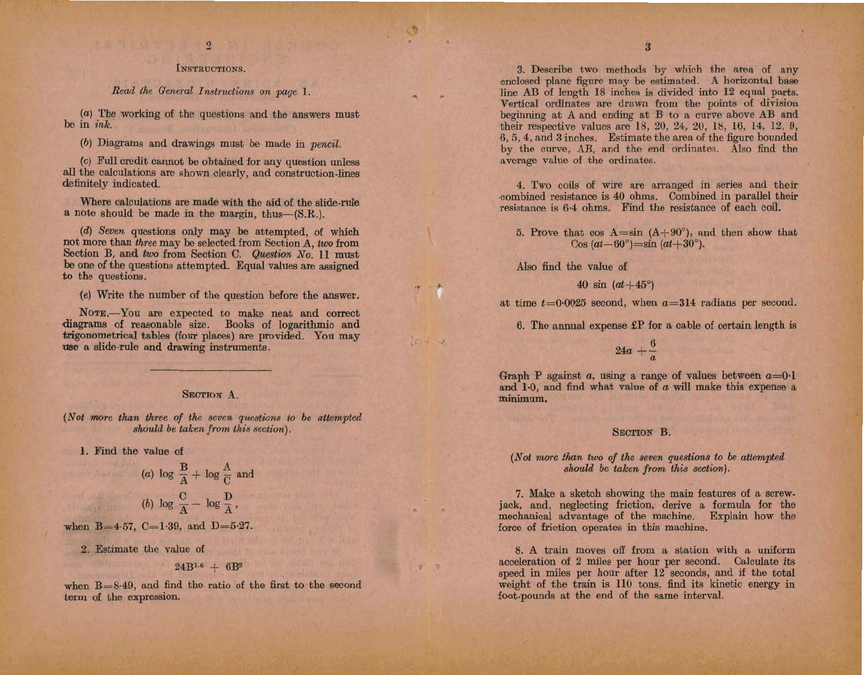# $\overline{2}$

### INSTRUCTIONS.

Read the General Instructions on page 1.

 $(a)$  The working of the questions and the answers must be in ink.

(b) Diagrams and drawings must be made in pencil.

(c) Full credit cannot be obtained for any question unless all the calculations are shown clearly, and construction-lines definitely indicated.

Where calculations are made with the aid of the slide-rule a note should be made in the margin, thus-(S.R.).

(d) Seven questions only may be attempted, of which not more than three may be selected from Section A, two from Section B, and two from Section C. Question No. 11 must be one of the questions attempted. Equal values are assigned to the questions.

(e) Write the number of the question before the answer.

NOTE.-You are expected to make neat and correct diagrams of reasonable size. Books of logarithmic and trigonometrical tables (four places) are provided. You may use a slide-rule and drawing instruments.

# **SECTION A.**

(Not more than three of the seven questions to be attempted should be taken from this section).

1. Find the value of

(a) 
$$
\log \frac{B}{A} + \log \frac{A}{C}
$$
 and  
(b)  $\log \frac{C}{A} - \log \frac{D}{A}$ ,

when  $B=4.57$ ,  $C=1.39$ , and  $D=5.27$ .

2. Estimate the value of

 $24B^{1.6} + 6B^2$ 

when  $B = 8.49$ , and find the ratio of the first to the second term of the expression.

3. Describe two methods by which the area of any enclosed plane figure may be estimated. A horizontal base line AB of length 18 inches is divided into 12 equal parts. Vertical ordinates are drawn from the points of division beginning at A and ending at B to a curve above AB and their respective values are 18, 20, 24, 20, 18, 16, 14, 12, 9, 6.5, 4, and 3 inches. Estimate the area of the figure bounded by the curve, AB, and the end ordinates. Also find the average value of the ordinates.

4. Two coils of wire are arranged in series and their combined resistance is 40 ohms. Combined in parallel their resistance is 6.4 ohms. Find the resistance of each coil.

5. Prove that  $\cos A = \sin (A + 90^{\circ})$ , and then show that  $\cos{(at-60^{\circ})} = \sin{(at+30^{\circ})}$ .

Also find the value of

#### 40 sin  $(at+45^{\circ})$

at time  $t=0.0025$  second, when  $a=314$  radians per second.

6. The annual expense £P for a cable of certain length is

 $24a + \frac{6}{a}$ 

Graph P against  $a$ , using a range of values between  $a=0.1$ and 1.0, and find what value of a will make this expense a minimum.

#### **SECTION B.**

### (Not more than two of the seven questions to be attempted should be taken from this section).

7. Make a sketch showing the main features of a screwjack, and, neglecting friction, derive a formula for the mechanical advantage of the machine. Explain how the force of friction operates in this machine.

8. A train moves off from a station with a uniform acceleration of 2 miles per hour per second. Calculate its speed in miles per hour after 12 seconds, and if the total weight of the train is 110 tons, find its kinetic energy in foot-pounds at the end of the same interval.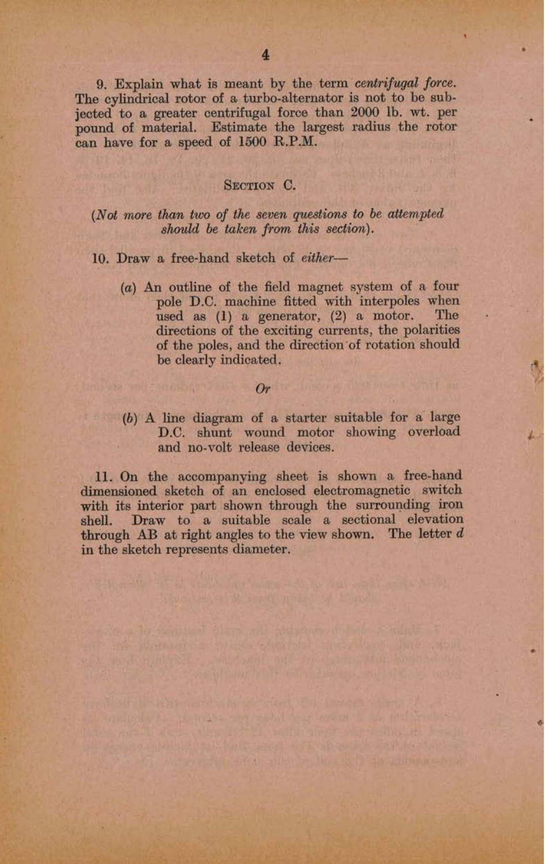9. Explain what is meant by the term centrifugal force. The cylindrical rotor of a turbo-alternator is not to be subjected to a greater centrifugal force than 2000 lb. wt. per pound of material. Estimate the largest radius the rotor can have for a speed of 1500 R.P.M.

### SECTION C.

## (Not more than two of the seven questions to be attempted should be taken from this section).

# 10. Draw a free-hand sketch of either-

 $(a)$  An outline of the field magnet system of a four pole D.C. machine fitted with interpoles when used as  $(1)$  a generator,  $(2)$  a motor. The directions of the exciting currents, the polarities of the poles, and the direction of rotation should be clearly indicated.

# Orthogona all the contract of the contract of

(b) A line diagram of a starter suitable for a large D.C. shunt wound motor showing overload and no-volt release devices.

11. On the accompanying sheet is shown a free-hand dimensioned sketch of an enclosed electromagnetic switch with its interior part shown through the surrounding iron shell. Draw to a suitable scale a sectional elevation through AB at right angles to the view shown. The letter  $d$ in the sketch represents diameter.

and and the planner will be consert to sent tends